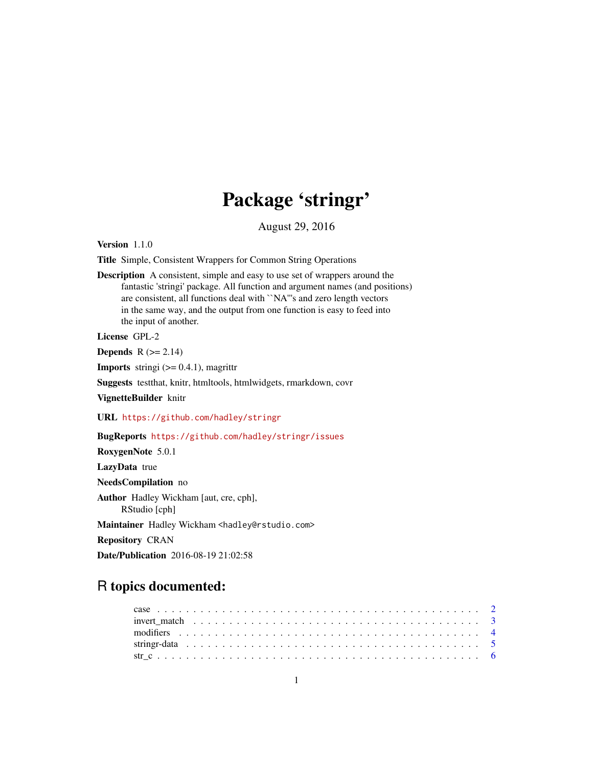# Package 'stringr'

August 29, 2016

<span id="page-0-0"></span>Version 1.1.0

Title Simple, Consistent Wrappers for Common String Operations

Description A consistent, simple and easy to use set of wrappers around the fantastic 'stringi' package. All function and argument names (and positions) are consistent, all functions deal with ``NA'''s and zero length vectors in the same way, and the output from one function is easy to feed into the input of another.

License GPL-2

Depends  $R$  ( $>= 2.14$ )

**Imports** stringi  $(>= 0.4.1)$ , magrittr

Suggests testthat, knitr, htmltools, htmlwidgets, rmarkdown, covr

VignetteBuilder knitr

URL <https://github.com/hadley/stringr>

BugReports <https://github.com/hadley/stringr/issues>

RoxygenNote 5.0.1 LazyData true NeedsCompilation no Author Hadley Wickham [aut, cre, cph], RStudio [cph] Maintainer Hadley Wickham <hadley@rstudio.com> Repository CRAN Date/Publication 2016-08-19 21:02:58

## R topics documented:

| invert match $\ldots \ldots \ldots \ldots \ldots \ldots \ldots \ldots \ldots \ldots \ldots \ldots \ldots$ |  |
|-----------------------------------------------------------------------------------------------------------|--|
|                                                                                                           |  |
|                                                                                                           |  |
|                                                                                                           |  |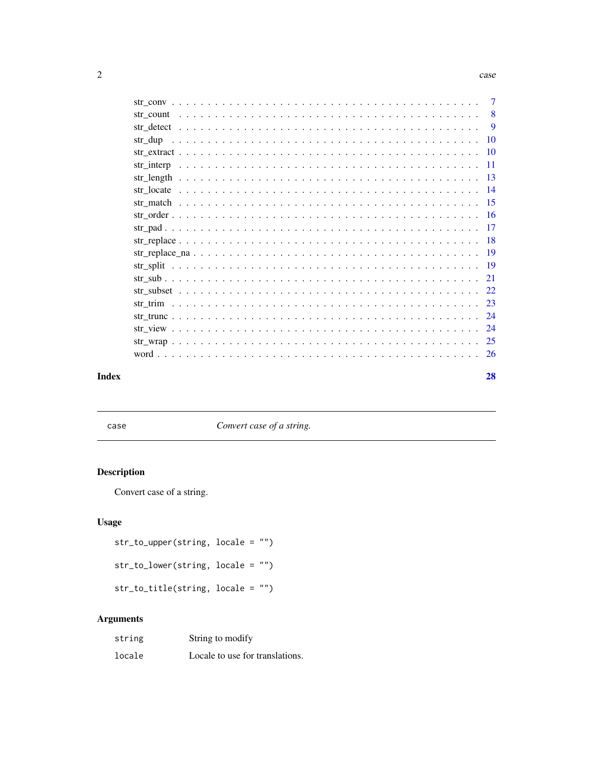#### <span id="page-1-0"></span> $2 \cos \theta$  case

|            | 7        |
|------------|----------|
| str count  | -8       |
|            | <b>9</b> |
| str dup    | 10       |
|            |          |
| str interp | -11      |
| str length | -13      |
|            |          |
|            |          |
|            |          |
|            | -17      |
|            |          |
|            |          |
|            |          |
|            | 21       |
|            |          |
|            | -23      |
|            |          |
|            | -24      |
|            |          |
|            | 26       |
|            |          |

#### **Index** [28](#page-27-0) and 2012, the contract of the contract of the contract of the contract of the contract of the contract of the contract of the contract of the contract of the contract of the contract of the contract of the contr

case *Convert case of a string.*

## Description

Convert case of a string.

## Usage

str\_to\_upper(string, locale = "")

str\_to\_lower(string, locale = "")

str\_to\_title(string, locale = "")

## Arguments

| string | String to modify                |
|--------|---------------------------------|
| locale | Locale to use for translations. |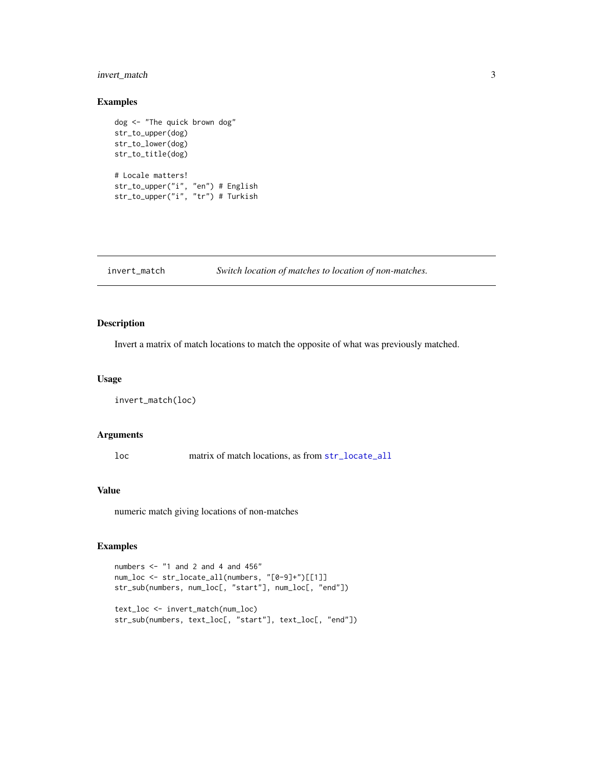## <span id="page-2-0"></span>invert\_match 3

#### Examples

```
dog <- "The quick brown dog"
str_to_upper(dog)
str_to_lower(dog)
str_to_title(dog)
# Locale matters!
str_to_upper("i", "en") # English
str_to_upper("i", "tr") # Turkish
```

```
invert_match Switch location of matches to location of non-matches.
```
## Description

Invert a matrix of match locations to match the opposite of what was previously matched.

### Usage

```
invert_match(loc)
```
#### Arguments

loc matrix of match locations, as from [str\\_locate\\_all](#page-13-1)

## Value

numeric match giving locations of non-matches

```
numbers \leq "1 and 2 and 4 and 456"
num_loc <- str_locate_all(numbers, "[0-9]+")[[1]]
str_sub(numbers, num_loc[, "start"], num_loc[, "end"])
text_loc <- invert_match(num_loc)
str_sub(numbers, text_loc[, "start"], text_loc[, "end"])
```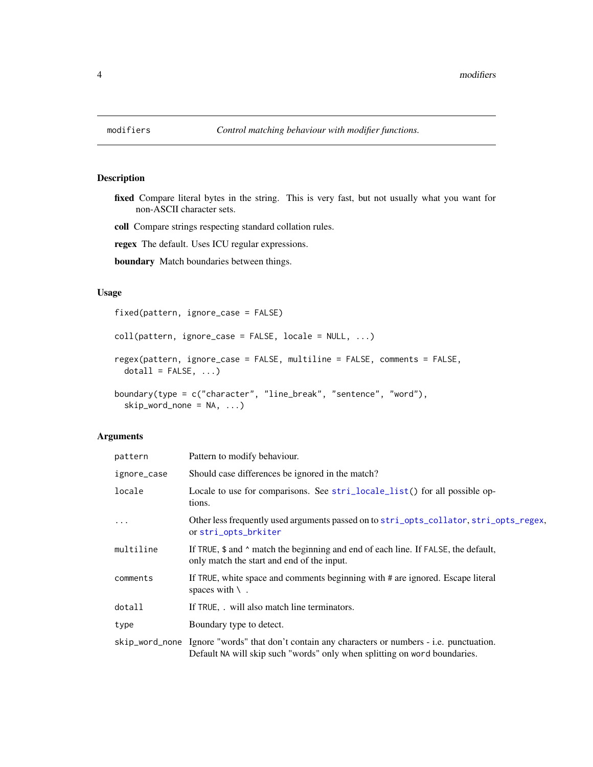fixed Compare literal bytes in the string. This is very fast, but not usually what you want for non-ASCII character sets.

coll Compare strings respecting standard collation rules.

regex The default. Uses ICU regular expressions.

boundary Match boundaries between things.

## Usage

fixed(pattern, ignore\_case = FALSE)

```
coll(pattern, ignore_case = FALSE, locale = NULL, ...)
regex(pattern, ignore_case = FALSE, multiline = FALSE, comments = FALSE,
 dotall = FALSE, ...)boundary(type = c("character", "line_break", "sentence", "word"),
  skip_word_none = NA, ...)
```
# Arguments

| pattern     | Pattern to modify behaviour.                                                                                                                                                |
|-------------|-----------------------------------------------------------------------------------------------------------------------------------------------------------------------------|
| ignore_case | Should case differences be ignored in the match?                                                                                                                            |
| locale      | Locale to use for comparisons. See stri_locale_list() for all possible op-<br>tions.                                                                                        |
| $\ddots$ .  | Other less frequently used arguments passed on to stri_opts_collator, stri_opts_regex,<br>or stri_opts_brkiter                                                              |
| multiline   | If TRUE, \$ and ^ match the beginning and end of each line. If FALSE, the default,<br>only match the start and end of the input.                                            |
| comments    | If TRUE, white space and comments beginning with # are ignored. Escape literal<br>spaces with $\setminus$ .                                                                 |
| dotall      | If TRUE, . will also match line terminators.                                                                                                                                |
| type        | Boundary type to detect.                                                                                                                                                    |
|             | skip_word_none Ignore "words" that don't contain any characters or numbers - i.e. punctuation.<br>Default NA will skip such "words" only when splitting on word boundaries. |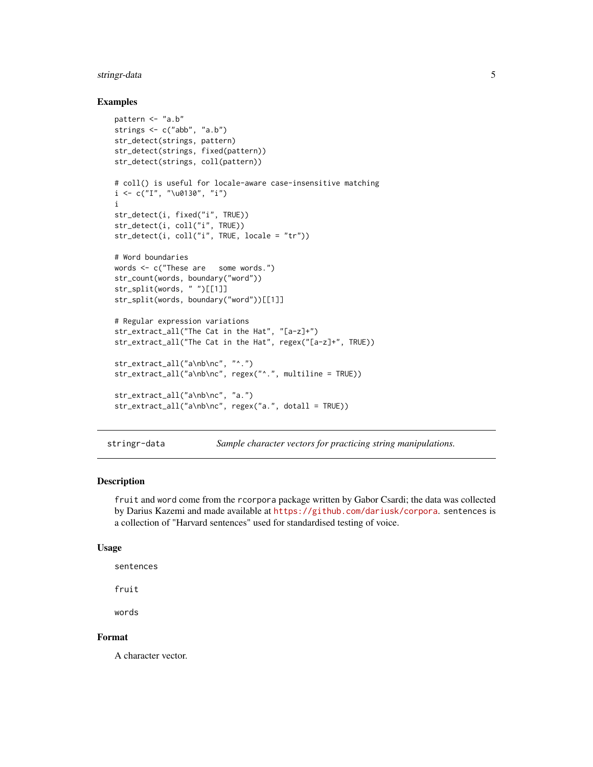## <span id="page-4-0"></span>stringr-data 5

#### Examples

```
pattern <- "a.b"
strings <- c("abb", "a.b")
str_detect(strings, pattern)
str_detect(strings, fixed(pattern))
str_detect(strings, coll(pattern))
# coll() is useful for locale-aware case-insensitive matching
i \leq c("I", "\\u0130", "i")i
str_detect(i, fixed("i", TRUE))
str_detect(i, coll("i", TRUE))
str_detect(i, coll("i", TRUE, locale = "tr"))
# Word boundaries
words <- c("These are some words.")
str_count(words, boundary("word"))
str_split(words, " ")[[1]]
str_split(words, boundary("word"))[[1]]
# Regular expression variations
str_extract_all("The Cat in the Hat", "[a-z]+")
str_extract_all("The Cat in the Hat", regex("[a-z]+", TRUE))
str_extract_all("a\nb\nc", "^.")
str_extract_all("a\nb\nc", regex("^.", multiline = TRUE))
str_extract_all("a\nb\nc", "a.")
str_extract_all("a\nb\nc", regex("a.", dotall = TRUE))
```
stringr-data *Sample character vectors for practicing string manipulations.*

## Description

fruit and word come from the rcorpora package written by Gabor Csardi; the data was collected by Darius Kazemi and made available at <https://github.com/dariusk/corpora>. sentences is a collection of "Harvard sentences" used for standardised testing of voice.

#### Usage

```
sentences
```
fruit

words

#### Format

A character vector.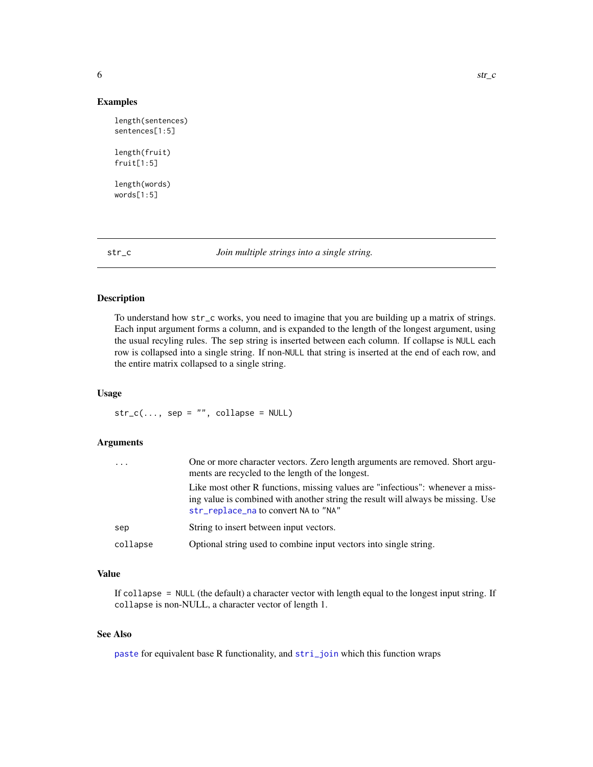#### <span id="page-5-0"></span>Examples

```
length(sentences)
sentences[1:5]
length(fruit)
```
length(words) words[1:5]

fruit[1:5]

str\_c *Join multiple strings into a single string.*

## Description

To understand how str\_c works, you need to imagine that you are building up a matrix of strings. Each input argument forms a column, and is expanded to the length of the longest argument, using the usual recyling rules. The sep string is inserted between each column. If collapse is NULL each row is collapsed into a single string. If non-NULL that string is inserted at the end of each row, and the entire matrix collapsed to a single string.

## Usage

 $str_c(..., sep = "", collapse = NULL)$ 

## Arguments

| $\cdot$ $\cdot$ $\cdot$ | One or more character vectors. Zero length arguments are removed. Short argu-<br>ments are recycled to the length of the longest.                                                                          |
|-------------------------|------------------------------------------------------------------------------------------------------------------------------------------------------------------------------------------------------------|
|                         | Like most other R functions, missing values are "infectious": whenever a miss-<br>ing value is combined with another string the result will always be missing. Use<br>str_replace_na to convert NA to "NA" |
| sep                     | String to insert between input vectors.                                                                                                                                                                    |
| collapse                | Optional string used to combine input vectors into single string.                                                                                                                                          |

#### Value

If collapse = NULL (the default) a character vector with length equal to the longest input string. If collapse is non-NULL, a character vector of length 1.

## See Also

[paste](#page-0-0) for equivalent base R functionality, and [stri\\_join](#page-0-0) which this function wraps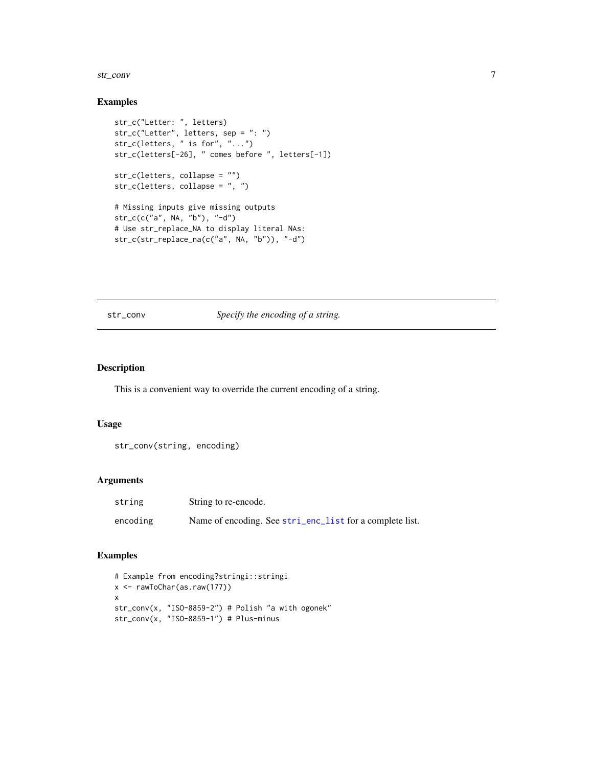#### <span id="page-6-0"></span>str\_conv 7

## Examples

```
str_c("Letter: ", letters)
str_c("Letter", letters, sep = ": ")
str_c(letters, " is for", "...")
str_c(letters[-26], " comes before ", letters[-1])
str_c(letters, collapse = "")
str_c(letters, collapse = ", ")
# Missing inputs give missing outputs
str_c(c("a", NA, "b"), "-d")
# Use str_replace_NA to display literal NAs:
str_c(str_replace_na(c("a", NA, "b")), "-d")
```
#### str\_conv *Specify the encoding of a string.*

## Description

This is a convenient way to override the current encoding of a string.

#### Usage

```
str_conv(string, encoding)
```
#### Arguments

| string   | String to re-encode.                                     |
|----------|----------------------------------------------------------|
| encoding | Name of encoding. See stri_enc_list for a complete list. |

```
# Example from encoding?stringi::stringi
x <- rawToChar(as.raw(177))
x
str_conv(x, "ISO-8859-2") # Polish "a with ogonek"
str_conv(x, "ISO-8859-1") # Plus-minus
```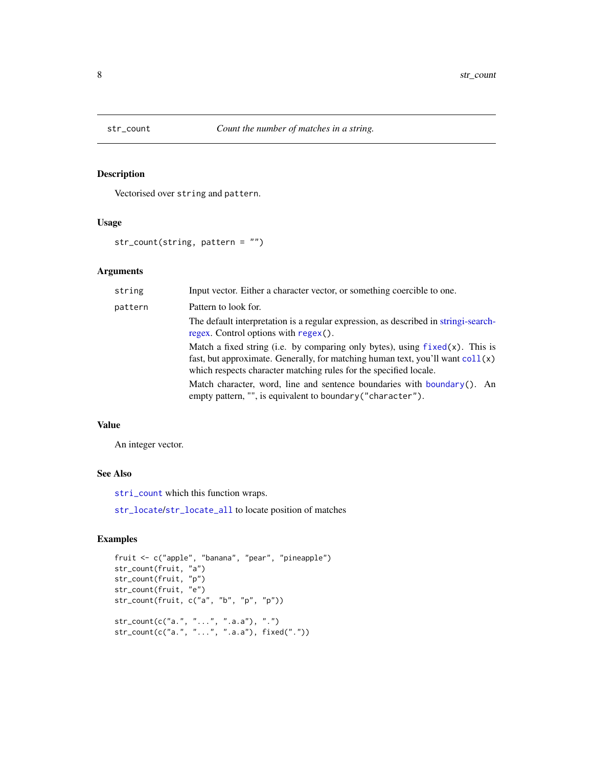<span id="page-7-0"></span>

Vectorised over string and pattern.

## Usage

str\_count(string, pattern = "")

## Arguments

| string  | Input vector. Either a character vector, or something coercible to one.                                                                                                                                                                         |
|---------|-------------------------------------------------------------------------------------------------------------------------------------------------------------------------------------------------------------------------------------------------|
| pattern | Pattern to look for.                                                                                                                                                                                                                            |
|         | The default interpretation is a regular expression, as described in string i-search-<br>regex. Control options with regex().                                                                                                                    |
|         | Match a fixed string (i.e. by comparing only bytes), using $fixed(x)$ . This is<br>fast, but approximate. Generally, for matching human text, you'll want $\text{coll}(x)$<br>which respects character matching rules for the specified locale. |
|         | Match character, word, line and sentence boundaries with boundary(). An<br>empty pattern, "", is equivalent to boundary ("character").                                                                                                          |

## Value

An integer vector.

## See Also

[stri\\_count](#page-0-0) which this function wraps.

[str\\_locate](#page-13-2)/[str\\_locate\\_all](#page-13-1) to locate position of matches

```
fruit <- c("apple", "banana", "pear", "pineapple")
str_count(fruit, "a")
str_count(fruit, "p")
str_count(fruit, "e")
str_count(fruit, c("a", "b", "p", "p"))
str_count(c("a.", "...", ".a.a"), ".")
str_count(c("a.", "...", ".a.a"), fixed("."))
```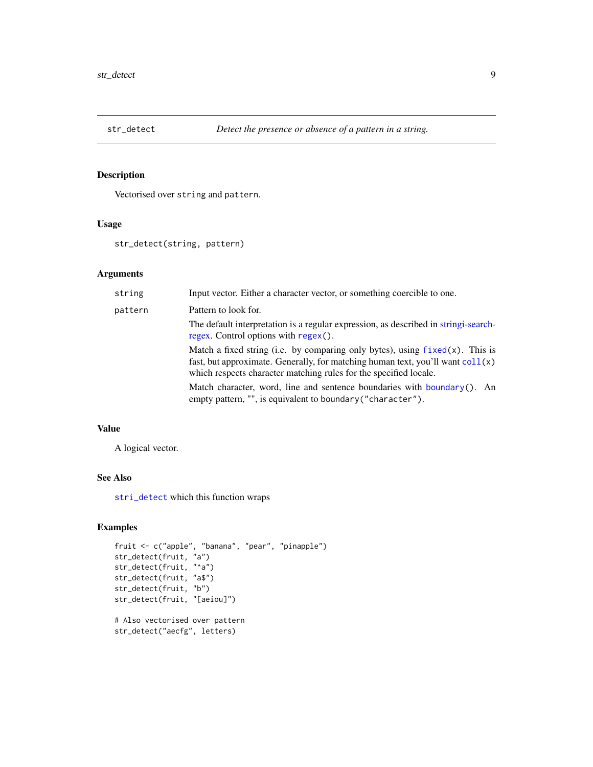<span id="page-8-0"></span>

Vectorised over string and pattern.

#### Usage

str\_detect(string, pattern)

## Arguments

| Input vector. Either a character vector, or something coercible to one.                                                                                                                                                                         |
|-------------------------------------------------------------------------------------------------------------------------------------------------------------------------------------------------------------------------------------------------|
| Pattern to look for.                                                                                                                                                                                                                            |
| The default interpretation is a regular expression, as described in string i-search-<br>regex. Control options with regex().                                                                                                                    |
| Match a fixed string (i.e. by comparing only bytes), using $fixed(x)$ . This is<br>fast, but approximate. Generally, for matching human text, you'll want $\text{coll}(x)$<br>which respects character matching rules for the specified locale. |
| Match character, word, line and sentence boundaries with boundary(). An<br>empty pattern, "", is equivalent to boundary ("character").                                                                                                          |
|                                                                                                                                                                                                                                                 |

## Value

A logical vector.

## See Also

[stri\\_detect](#page-0-0) which this function wraps

```
fruit <- c("apple", "banana", "pear", "pinapple")
str_detect(fruit, "a")
str_detect(fruit, "^a")
str_detect(fruit, "a$")
str_detect(fruit, "b")
str_detect(fruit, "[aeiou]")
# Also vectorised over pattern
str_detect("aecfg", letters)
```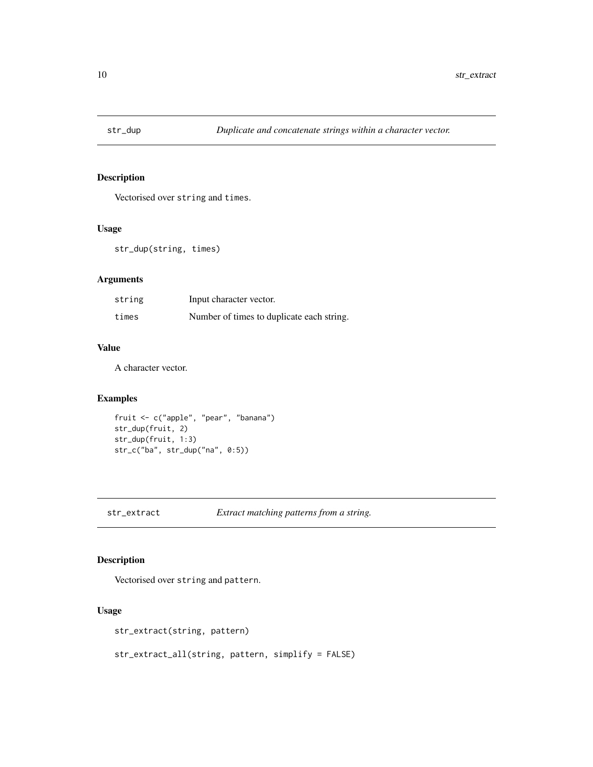<span id="page-9-0"></span>

Vectorised over string and times.

## Usage

str\_dup(string, times)

## Arguments

| string | Input character vector.                   |
|--------|-------------------------------------------|
| times  | Number of times to duplicate each string. |

#### Value

A character vector.

## Examples

```
fruit <- c("apple", "pear", "banana")
str_dup(fruit, 2)
str_dup(fruit, 1:3)
str_c("ba", str_dup("na", 0:5))
```
<span id="page-9-1"></span>str\_extract *Extract matching patterns from a string.*

## Description

Vectorised over string and pattern.

#### Usage

str\_extract(string, pattern)

str\_extract\_all(string, pattern, simplify = FALSE)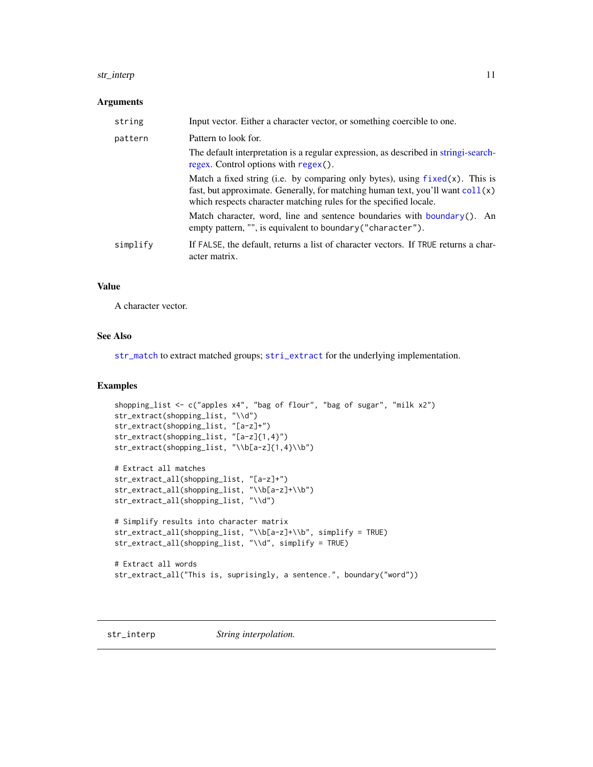#### <span id="page-10-0"></span>str\_interp 11

#### Arguments

| Input vector. Either a character vector, or something coercible to one.                                                                                                                                                                         |
|-------------------------------------------------------------------------------------------------------------------------------------------------------------------------------------------------------------------------------------------------|
| Pattern to look for.                                                                                                                                                                                                                            |
| The default interpretation is a regular expression, as described in string i-search-<br>regex. Control options with regex().                                                                                                                    |
| Match a fixed string (i.e. by comparing only bytes), using $fixed(x)$ . This is<br>fast, but approximate. Generally, for matching human text, you'll want $\text{coll}(x)$<br>which respects character matching rules for the specified locale. |
| Match character, word, line and sentence boundaries with boundary(). An<br>empty pattern, "", is equivalent to boundary ("character").                                                                                                          |
| If FALSE, the default, returns a list of character vectors. If TRUE returns a char-<br>acter matrix.                                                                                                                                            |
|                                                                                                                                                                                                                                                 |

#### Value

A character vector.

## See Also

[str\\_match](#page-14-1) to extract matched groups; [stri\\_extract](#page-0-0) for the underlying implementation.

#### Examples

```
shopping_list <- c("apples x4", "bag of flour", "bag of sugar", "milk x2")
str_extract(shopping_list, "\\d")
str_extract(shopping_list, "[a-z]+")
str_extract(shopping_list, "[a-z]{1,4}")
str_extract(shopping_list, "\\b[a-z]{1,4}\\b")
# Extract all matches
str_extract_all(shopping_list, "[a-z]+")
str_extract_all(shopping_list, "\\b[a-z]+\\b")
str_extract_all(shopping_list, "\\d")
# Simplify results into character matrix
str_extract_all(shopping_list, "\\b[a-z]+\\b", simplify = TRUE)
str_extract_all(shopping_list, "\\d", simplify = TRUE)
# Extract all words
str_extract_all("This is, suprisingly, a sentence.", boundary("word"))
```
str\_interp *String interpolation.*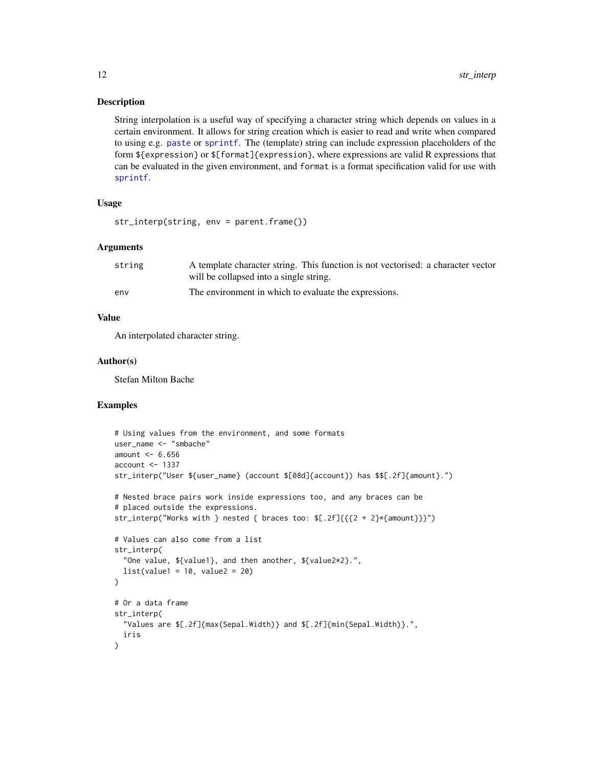<span id="page-11-0"></span>String interpolation is a useful way of specifying a character string which depends on values in a certain environment. It allows for string creation which is easier to read and write when compared to using e.g. [paste](#page-0-0) or [sprintf](#page-0-0). The (template) string can include expression placeholders of the form \${expression} or \$[format]{expression}, where expressions are valid R expressions that can be evaluated in the given environment, and format is a format specification valid for use with [sprintf](#page-0-0).

## Usage

str\_interp(string, env = parent.frame())

#### Arguments

| string | A template character string. This function is not vectorised: a character vector |
|--------|----------------------------------------------------------------------------------|
|        | will be collapsed into a single string.                                          |
| env    | The environment in which to evaluate the expressions.                            |

#### Value

An interpolated character string.

#### Author(s)

Stefan Milton Bache

```
# Using values from the environment, and some formats
user_name <- "smbache"
amount <-6.656account < -1337str_interp("User ${user_name} (account $[08d]{account}) has $$[.2f]{amount}.")
# Nested brace pairs work inside expressions too, and any braces can be
# placed outside the expressions.
str_interp("Works with } nested { braces too: $[.2f]{{{2 + 2}*{amount}}}")
# Values can also come from a list
str_interp(
  "One value, ${value1}, and then another, ${value2*2}.",
 list(value1 = 10, value2 = 20)\lambda# Or a data frame
str_interp(
  "Values are $[.2f]{max(Sepal.Width)} and $[.2f]{min(Sepal.Width)}.",
 iris
)
```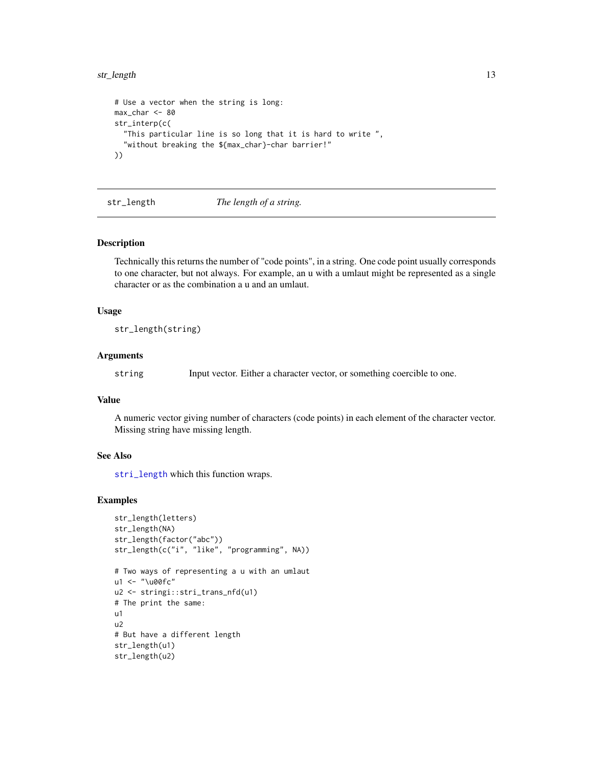#### <span id="page-12-0"></span>str\_length 13

```
# Use a vector when the string is long:
max_char <- 80
str_interp(c(
  "This particular line is so long that it is hard to write ",
  "without breaking the ${max_char}-char barrier!"
))
```
str\_length *The length of a string.*

#### Description

Technically this returns the number of "code points", in a string. One code point usually corresponds to one character, but not always. For example, an u with a umlaut might be represented as a single character or as the combination a u and an umlaut.

#### Usage

str\_length(string)

#### Arguments

string Input vector. Either a character vector, or something coercible to one.

#### Value

A numeric vector giving number of characters (code points) in each element of the character vector. Missing string have missing length.

## See Also

[stri\\_length](#page-0-0) which this function wraps.

```
str_length(letters)
str_length(NA)
str_length(factor("abc"))
str_length(c("i", "like", "programming", NA))
# Two ways of representing a u with an umlaut
u1 <- "\u00fc"
u2 <- stringi::stri_trans_nfd(u1)
# The print the same:
u1
u2
# But have a different length
str_length(u1)
str_length(u2)
```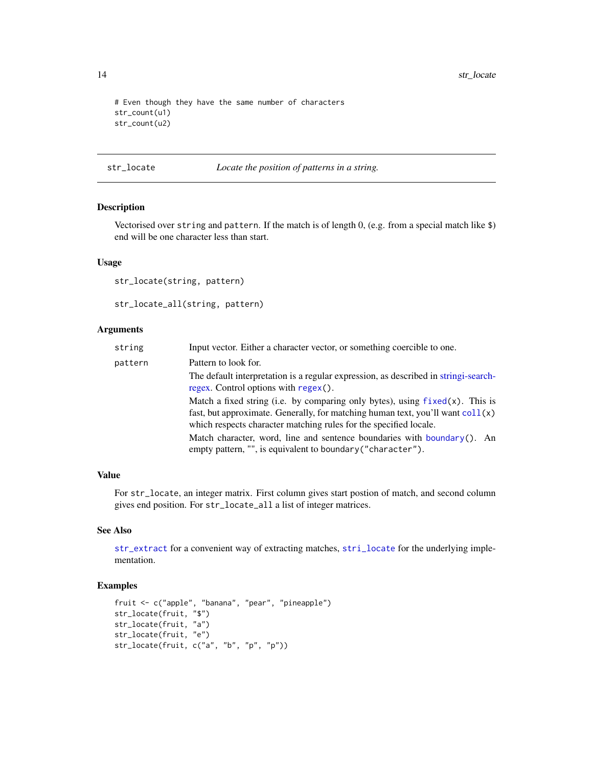<span id="page-13-0"></span>14 str\_locate and the strain structure of the strain structure of the strain structure of the strain structure

```
# Even though they have the same number of characters
str_count(u1)
str_count(u2)
```
#### <span id="page-13-2"></span>str\_locate *Locate the position of patterns in a string.*

## <span id="page-13-1"></span>Description

Vectorised over string and pattern. If the match is of length 0, (e.g. from a special match like \$) end will be one character less than start.

#### Usage

str\_locate(string, pattern)

str\_locate\_all(string, pattern)

#### Arguments

| string  | Input vector. Either a character vector, or something coercible to one.                                                                                                                                                                        |
|---------|------------------------------------------------------------------------------------------------------------------------------------------------------------------------------------------------------------------------------------------------|
| pattern | Pattern to look for.                                                                                                                                                                                                                           |
|         | The default interpretation is a regular expression, as described in string i-search-<br>regex. Control options with $regex()$ .                                                                                                                |
|         | Match a fixed string (i.e. by comparing only bytes), using $fixed(x)$ . This is<br>fast, but approximate. Generally, for matching human text, you'll want $\text{col}(x)$<br>which respects character matching rules for the specified locale. |
|         | Match character, word, line and sentence boundaries with boundary(). An<br>empty pattern, "", is equivalent to boundary ("character").                                                                                                         |

## Value

For str\_locate, an integer matrix. First column gives start postion of match, and second column gives end position. For str\_locate\_all a list of integer matrices.

#### See Also

[str\\_extract](#page-9-1) for a convenient way of extracting matches, [stri\\_locate](#page-0-0) for the underlying implementation.

```
fruit <- c("apple", "banana", "pear", "pineapple")
str_locate(fruit, "$")
str_locate(fruit, "a")
str_locate(fruit, "e")
str_locate(fruit, c("a", "b", "p", "p"))
```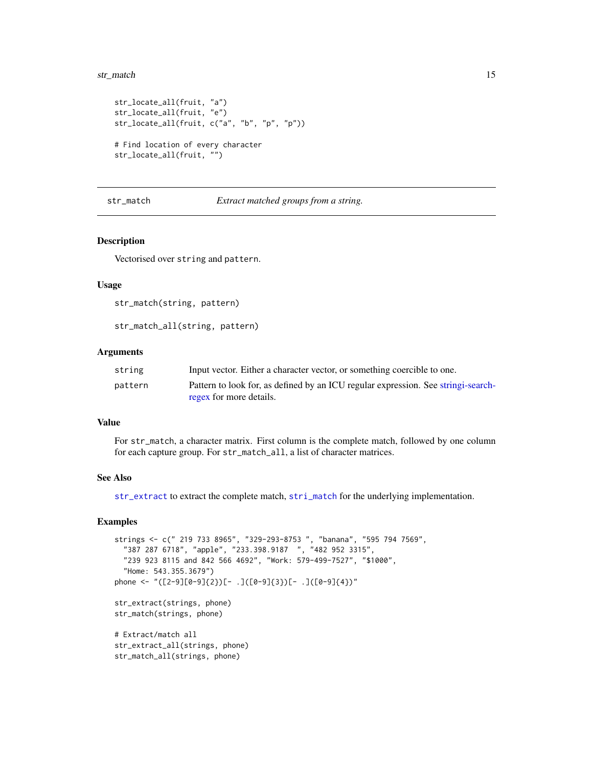#### <span id="page-14-0"></span>str\_match 15

```
str_locate_all(fruit, "a")
str_locate_all(fruit, "e")
str_locate_all(fruit, c("a", "b", "p", "p"))
# Find location of every character
```
str\_locate\_all(fruit, "")

#### <span id="page-14-1"></span>str\_match *Extract matched groups from a string.*

#### Description

Vectorised over string and pattern.

#### Usage

```
str_match(string, pattern)
```
str\_match\_all(strings, phone)

str\_match\_all(string, pattern)

#### Arguments

| string  | Input vector. Either a character vector, or something coercible to one.            |
|---------|------------------------------------------------------------------------------------|
| pattern | Pattern to look for, as defined by an ICU regular expression. See string i-search- |
|         | regex for more details.                                                            |

#### Value

For str\_match, a character matrix. First column is the complete match, followed by one column for each capture group. For str\_match\_all, a list of character matrices.

#### See Also

[str\\_extract](#page-9-1) to extract the complete match, [stri\\_match](#page-0-0) for the underlying implementation.

```
strings <- c(" 219 733 8965", "329-293-8753 ", "banana", "595 794 7569",
 "387 287 6718", "apple", "233.398.9187 ", "482 952 3315",
 "239 923 8115 and 842 566 4692", "Work: 579-499-7527", "$1000",
 "Home: 543.355.3679")
phone <- "([2-9][0-9]{2})[- .]([0-9]{3})[- .]([0-9]{4})"
str_extract(strings, phone)
str_match(strings, phone)
# Extract/match all
str_extract_all(strings, phone)
```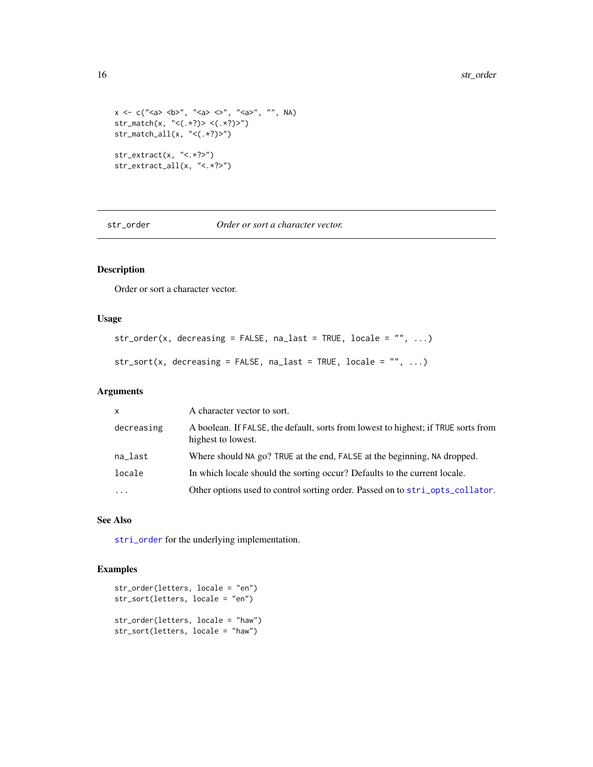```
x \leq c ("<a> \langle b \rangle", "<a> \langle a \rangle , "\langle a \rangle", "", NA)
str_match(x, "<(.*?)> <(.*?)>")
str_match_all(x, "<(.*?)>")
str_extract(x, "<.*?>")
str_extract_all(x, "<.*?>")
```
str\_order *Order or sort a character vector.*

## Description

Order or sort a character vector.

#### Usage

```
str\_order(x, decreasing = FALSE, na\_last = TRUE, locale = "", ...)
```

```
str\_sort(x, decreasing = FALSE, na\_last = TRUE, locale = "", ...)
```
#### Arguments

| $\mathsf{x}$ | A character vector to sort.                                                                              |
|--------------|----------------------------------------------------------------------------------------------------------|
| decreasing   | A boolean. If FALSE, the default, sorts from lowest to highest; if TRUE sorts from<br>highest to lowest. |
| na_last      | Where should NA go? TRUE at the end, FALSE at the beginning, NA dropped.                                 |
| locale       | In which locale should the sorting occur? Defaults to the current locale.                                |
| $\cdots$     | Other options used to control sorting order. Passed on to stri_opts_collator.                            |

## See Also

[stri\\_order](#page-0-0) for the underlying implementation.

```
str_order(letters, locale = "en")
str_sort(letters, locale = "en")
str_order(letters, locale = "haw")
str_sort(letters, locale = "haw")
```
<span id="page-15-0"></span>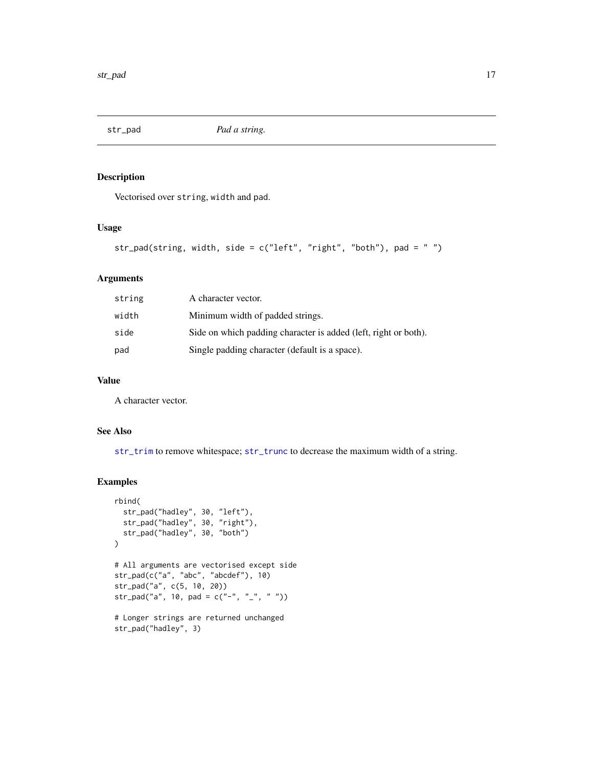<span id="page-16-1"></span><span id="page-16-0"></span>

Vectorised over string, width and pad.

#### Usage

```
str_pad(string, width, side = c("left", "right", "both"), pad = " ")
```
## Arguments

| string | A character vector.                                             |
|--------|-----------------------------------------------------------------|
| width  | Minimum width of padded strings.                                |
| side   | Side on which padding character is added (left, right or both). |
| pad    | Single padding character (default is a space).                  |

#### Value

A character vector.

## See Also

[str\\_trim](#page-22-1) to remove whitespace; [str\\_trunc](#page-23-1) to decrease the maximum width of a string.

```
rbind(
  str_pad("hadley", 30, "left"),
  str_pad("hadley", 30, "right"),
  str_pad("hadley", 30, "both")
\overline{)}# All arguments are vectorised except side
str_pad(c("a", "abc", "abcdef"), 10)
str_pad("a", c(5, 10, 20))
str_pad("a", 10, pad = c("-'", "-'", " " ))
```

```
# Longer strings are returned unchanged
str_pad("hadley", 3)
```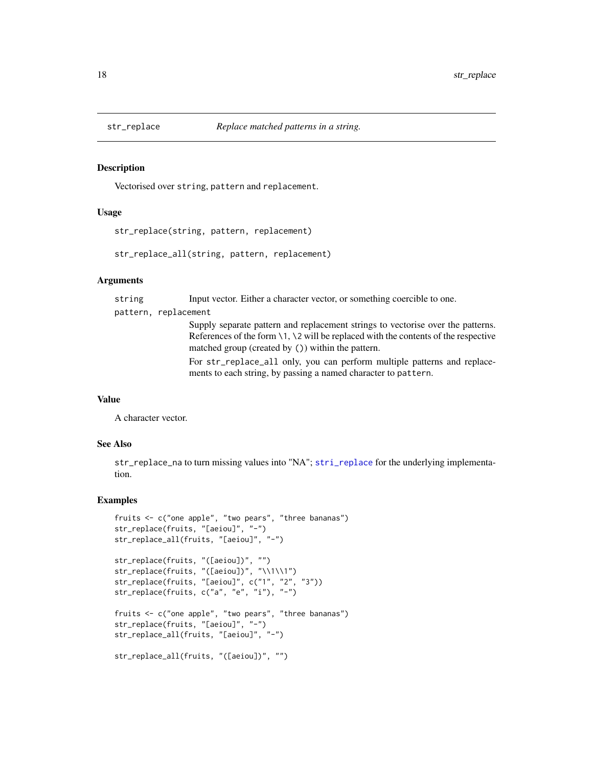<span id="page-17-0"></span>

Vectorised over string, pattern and replacement.

## Usage

str\_replace(string, pattern, replacement)

str\_replace\_all(string, pattern, replacement)

#### Arguments

string Input vector. Either a character vector, or something coercible to one. pattern, replacement Supply separate pattern and replacement strings to vectorise over the patterns. References of the form \1, \2 will be replaced with the contents of the respective matched group (created by ()) within the pattern. For str\_replace\_all only, you can perform multiple patterns and replacements to each string, by passing a named character to pattern.

## Value

A character vector.

#### See Also

str\_replace\_na to turn missing values into "NA"; [stri\\_replace](#page-0-0) for the underlying implementation.

```
fruits <- c("one apple", "two pears", "three bananas")
str_replace(fruits, "[aeiou]", "-")
str_replace_all(fruits, "[aeiou]", "-")
str_replace(fruits, "([aeiou])", "")
str_replace(fruits, "([aeiou])", "\\1\\1")
str_replace(fruits, "[aeiou]", c("1", "2", "3"))
str_replace(fruits, c("a", "e", "i"), "-")
fruits <- c("one apple", "two pears", "three bananas")
str_replace(fruits, "[aeiou]", "-")
str_replace_all(fruits, "[aeiou]", "-")
str_replace_all(fruits, "([aeiou])", "")
```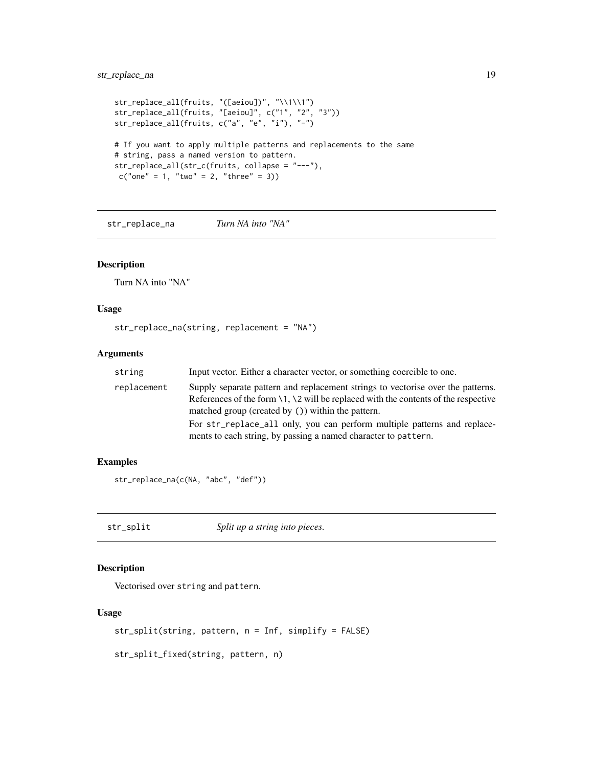## <span id="page-18-0"></span>str\_replace\_na 19

```
str_replace_all(fruits, "([aeiou])", "\\1\\1")
str_replace_all(fruits, "[aeiou]", c("1", "2", "3"))
str_replace_all(fruits, c("a", "e", "i"), "-")
# If you want to apply multiple patterns and replacements to the same
# string, pass a named version to pattern.
str_replace_all(str_c(fruits, collapse = "---"),
c("one" = 1, "two" = 2, "three" = 3))
```
<span id="page-18-1"></span>str\_replace\_na *Turn NA into "NA"*

#### Description

Turn NA into "NA"

## Usage

str\_replace\_na(string, replacement = "NA")

## Arguments

| string      | Input vector. Either a character vector, or something coercible to one.                                                                                                                                                      |
|-------------|------------------------------------------------------------------------------------------------------------------------------------------------------------------------------------------------------------------------------|
| replacement | Supply separate pattern and replacement strings to vectorise over the patterns.<br>References of the form $\1, \2$ will be replaced with the contents of the respective<br>matched group (created by ()) within the pattern. |
|             | For str_replace_all only, you can perform multiple patterns and replace-<br>ments to each string, by passing a named character to pattern.                                                                                   |

#### Examples

str\_replace\_na(c(NA, "abc", "def"))

str\_split *Split up a string into pieces.*

## Description

Vectorised over string and pattern.

## Usage

```
str_split(string, pattern, n = Inf, simplify = FALSE)
```
str\_split\_fixed(string, pattern, n)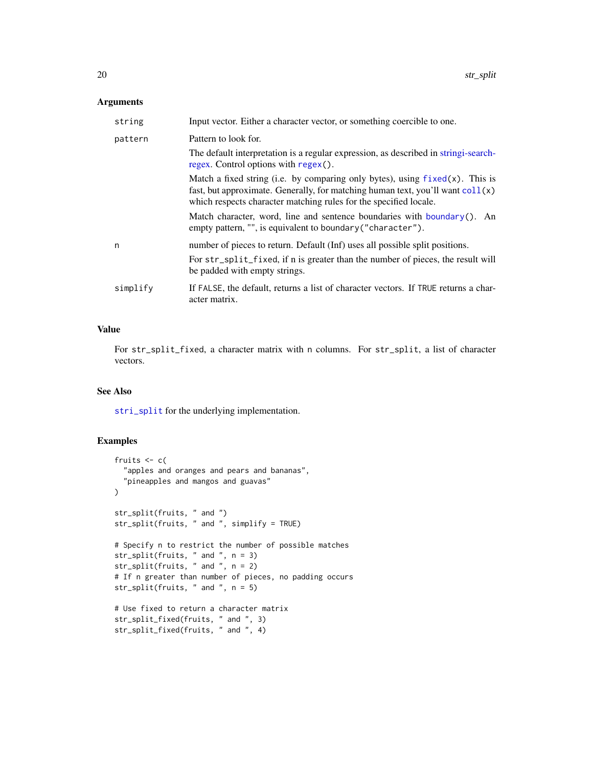#### <span id="page-19-0"></span>Arguments

| string   | Input vector. Either a character vector, or something coercible to one.                                                                                                                                                                         |
|----------|-------------------------------------------------------------------------------------------------------------------------------------------------------------------------------------------------------------------------------------------------|
| pattern  | Pattern to look for.                                                                                                                                                                                                                            |
|          | The default interpretation is a regular expression, as described in string i-search-<br>regex. Control options with regex().                                                                                                                    |
|          | Match a fixed string (i.e. by comparing only bytes), using $fixed(x)$ . This is<br>fast, but approximate. Generally, for matching human text, you'll want $\text{coll}(x)$<br>which respects character matching rules for the specified locale. |
|          | Match character, word, line and sentence boundaries with boundary(). An<br>empty pattern, "", is equivalent to boundary ("character").                                                                                                          |
| n        | number of pieces to return. Default (Inf) uses all possible split positions.<br>For str_split_fixed, if n is greater than the number of pieces, the result will<br>be padded with empty strings.                                                |
| simplify | If FALSE, the default, returns a list of character vectors. If TRUE returns a char-<br>acter matrix.                                                                                                                                            |

## Value

For str\_split\_fixed, a character matrix with n columns. For str\_split, a list of character vectors.

#### See Also

[stri\\_split](#page-0-0) for the underlying implementation.

```
fruits <-c("apples and oranges and pears and bananas",
  "pineapples and mangos and guavas"
\lambdastr_split(fruits, " and ")
str_split(fruits, " and ", simplify = TRUE)
# Specify n to restrict the number of possible matches
str_split(fruits, " and ", n = 3)
str_split(fruits, " and ", n = 2)
# If n greater than number of pieces, no padding occurs
str_split(fruits, " and ", n = 5)
# Use fixed to return a character matrix
str_split_fixed(fruits, " and ", 3)
str_split_fixed(fruits, " and ", 4)
```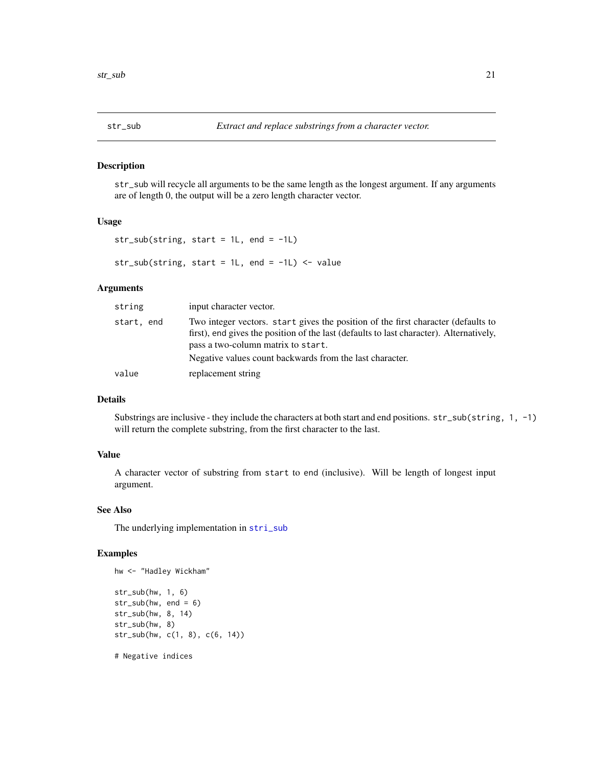<span id="page-20-0"></span>

str\_sub will recycle all arguments to be the same length as the longest argument. If any arguments are of length 0, the output will be a zero length character vector.

#### Usage

```
str\_sub(String, start = 1L, end = -1L)
```
str\_sub(string, start = 1L, end =  $-1$ L) <- value

#### Arguments

| string     | input character vector.                                                                                                                                                                                                                                                        |
|------------|--------------------------------------------------------------------------------------------------------------------------------------------------------------------------------------------------------------------------------------------------------------------------------|
| start, end | Two integer vectors. start gives the position of the first character (defaults to<br>first), end gives the position of the last (defaults to last character). Alternatively,<br>pass a two-column matrix to start.<br>Negative values count backwards from the last character. |
| value      | replacement string                                                                                                                                                                                                                                                             |

#### Details

Substrings are inclusive - they include the characters at both start and end positions. str\_sub(string, 1, -1) will return the complete substring, from the first character to the last.

## Value

A character vector of substring from start to end (inclusive). Will be length of longest input argument.

## See Also

The underlying implementation in [stri\\_sub](#page-0-0)

```
hw <- "Hadley Wickham"
str_sub(hw, 1, 6)
str_sub(hw, end = 6)
str_sub(hw, 8, 14)
str_sub(hw, 8)
str_sub(hw, c(1, 8), c(6, 14))
# Negative indices
```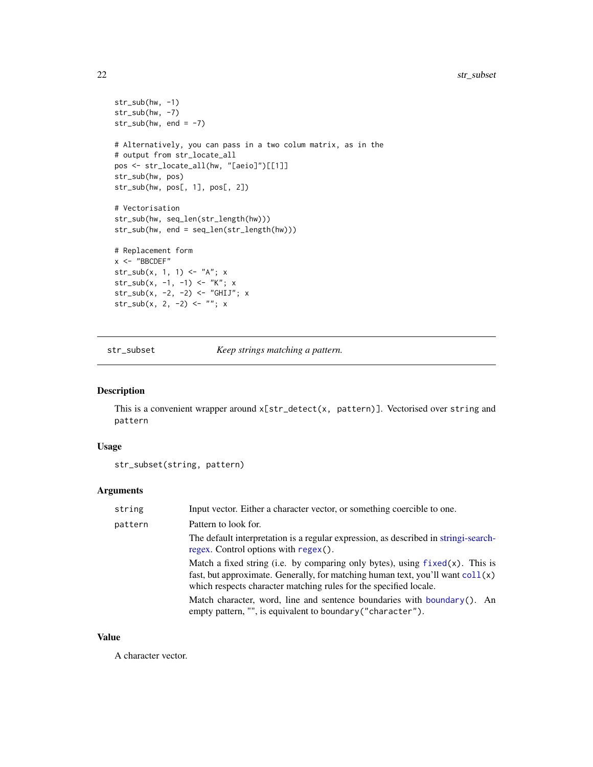#### 22 str\_subset of the contract of the contract of the contract of the contract of the contract of the contract of the contract of the contract of the contract of the contract of the contract of the contract of the contract

```
str_sub(hw, -1)
str_sub(hw, -7)
str\_sub(hw, end = -7)# Alternatively, you can pass in a two colum matrix, as in the
# output from str_locate_all
pos <- str_locate_all(hw, "[aeio]")[[1]]
str_sub(hw, pos)
str_sub(hw, pos[, 1], pos[, 2])
# Vectorisation
str_sub(hw, seq_len(str_length(hw)))
str_sub(hw, end = seq_len(str_length(hw)))
# Replacement form
x < - "BBCDEF"
str\_sub(x, 1, 1) \leftarrow "A"; xstr_sub(x, -1, -1) <- "K"; x
str_sub(x, -2, -2) <- "GHIJ"; xstr_sub(x, 2, -2) <- ""; x
```
str\_subset *Keep strings matching a pattern.*

#### Description

This is a convenient wrapper around  $x[str\_detect(x, pattern)]$ . Vectorised over string and pattern

#### Usage

str\_subset(string, pattern)

#### Arguments

| string  | Input vector. Either a character vector, or something coercible to one.                                                                                                                                                                         |
|---------|-------------------------------------------------------------------------------------------------------------------------------------------------------------------------------------------------------------------------------------------------|
| pattern | Pattern to look for.                                                                                                                                                                                                                            |
|         | The default interpretation is a regular expression, as described in string i-search-<br>regex. Control options with regex().                                                                                                                    |
|         | Match a fixed string (i.e. by comparing only bytes), using $fixed(x)$ . This is<br>fast, but approximate. Generally, for matching human text, you'll want $\text{coll}(x)$<br>which respects character matching rules for the specified locale. |
|         | Match character, word, line and sentence boundaries with boundary(). An<br>empty pattern, "", is equivalent to boundary ("character").                                                                                                          |

## Value

A character vector.

<span id="page-21-0"></span>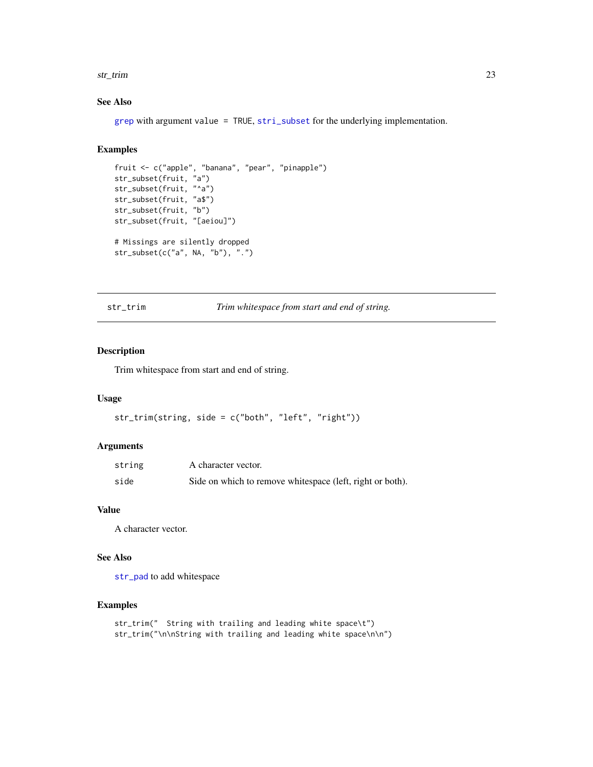#### <span id="page-22-0"></span>str\_trim 23

## See Also

[grep](#page-0-0) with argument value = TRUE,  $\text{stri\_subset}$  for the underlying implementation.

## Examples

```
fruit <- c("apple", "banana", "pear", "pinapple")
str_subset(fruit, "a")
str_subset(fruit, "^a")
str_subset(fruit, "a$")
str_subset(fruit, "b")
str_subset(fruit, "[aeiou]")
# Missings are silently dropped
str_subset(c("a", NA, "b"), ".")
```
<span id="page-22-1"></span>str\_trim *Trim whitespace from start and end of string.*

## Description

Trim whitespace from start and end of string.

#### Usage

```
str_trim(string, side = c("both", "left", "right"))
```
#### Arguments

| string | A character vector.                                        |
|--------|------------------------------------------------------------|
| side   | Side on which to remove white space (left, right or both). |

#### Value

A character vector.

#### See Also

[str\\_pad](#page-16-1) to add whitespace

```
str_trim(" String with trailing and leading white space\t")
str_trim("\n\nString with trailing and leading white space\n\n")
```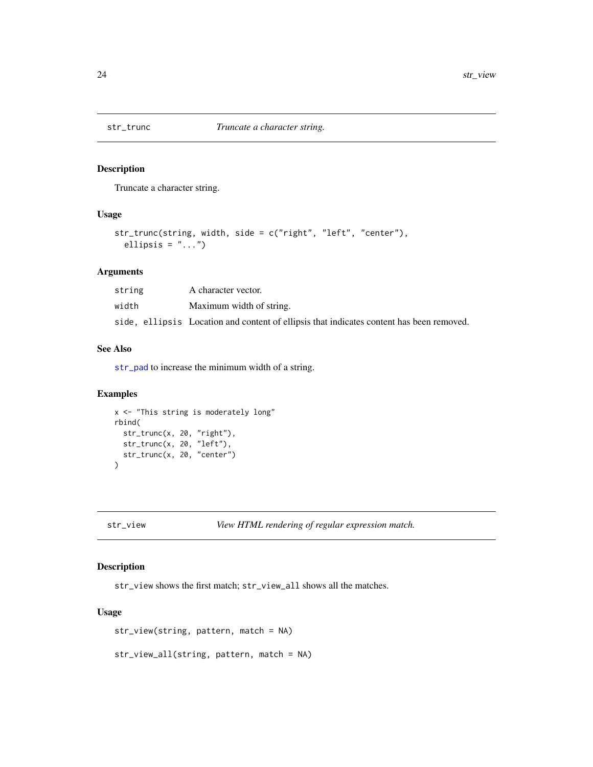<span id="page-23-1"></span><span id="page-23-0"></span>

Truncate a character string.

## Usage

```
str_trunc(string, width, side = c("right", "left", "center"),
  ellipsis = "...")
```
## Arguments

| string | A character vector.                                                                      |
|--------|------------------------------------------------------------------------------------------|
| width  | Maximum width of string.                                                                 |
|        | side, ellipsis Location and content of ellipsis that indicates content has been removed. |

#### See Also

[str\\_pad](#page-16-1) to increase the minimum width of a string.

## Examples

```
x <- "This string is moderately long"
rbind(
  str_trunc(x, 20, "right"),
  str_trunc(x, 20, "left"),
  str_trunc(x, 20, "center")
\mathcal{L}
```
str\_view *View HTML rendering of regular expression match.*

## Description

str\_view shows the first match; str\_view\_all shows all the matches.

## Usage

str\_view(string, pattern, match = NA)

```
str_view_all(string, pattern, match = NA)
```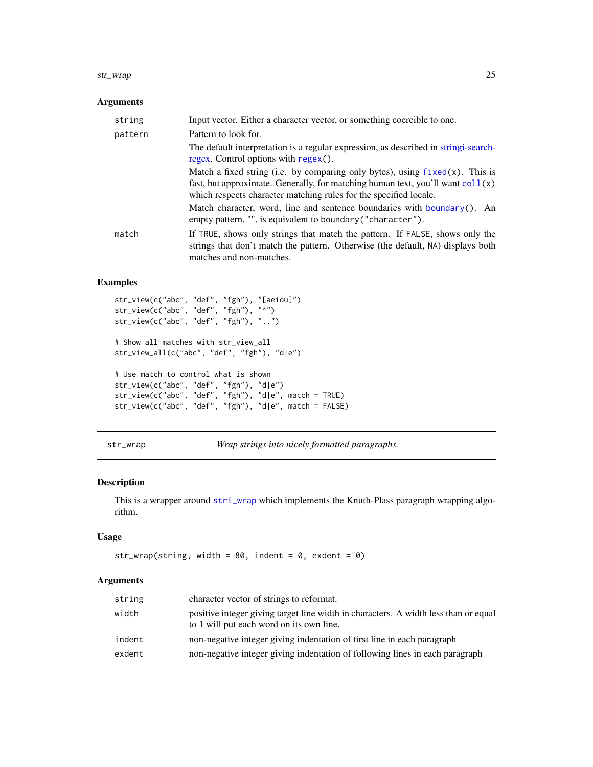#### <span id="page-24-0"></span>str\_wrap 25

## Arguments

| string  | Input vector. Either a character vector, or something coercible to one.                                                                                                                     |
|---------|---------------------------------------------------------------------------------------------------------------------------------------------------------------------------------------------|
| pattern | Pattern to look for.                                                                                                                                                                        |
|         | The default interpretation is a regular expression, as described in stringi-search-<br>regex. Control options with regex().                                                                 |
|         | Match a fixed string (i.e. by comparing only bytes), using $fixed(x)$ . This is                                                                                                             |
|         | fast, but approximate. Generally, for matching human text, you'll want $\text{coll}(x)$                                                                                                     |
|         | which respects character matching rules for the specified locale.                                                                                                                           |
|         | Match character, word, line and sentence boundaries with boundary(). An<br>empty pattern, "", is equivalent to boundary ("character").                                                      |
| match   | If TRUE, shows only strings that match the pattern. If FALSE, shows only the<br>strings that don't match the pattern. Otherwise (the default, NA) displays both<br>matches and non-matches. |

## Examples

```
str_view(c("abc", "def", "fgh"), "[aeiou]")
str_view(c("abc", "def", "fgh"), "^")
str_view(c("abc", "def", "fgh"), "..")
# Show all matches with str_view_all
str_view_all(c("abc", "def", "fgh"), "d|e")
# Use match to control what is shown
str_view(c("abc", "def", "fgh"), "d|e")
str_view(c("abc", "def", "fgh"), "d|e", match = TRUE)
str_view(c("abc", "def", "fgh"), "d|e", match = FALSE)
```
str\_wrap *Wrap strings into nicely formatted paragraphs.*

#### Description

This is a wrapper around [stri\\_wrap](#page-0-0) which implements the Knuth-Plass paragraph wrapping algorithm.

## Usage

```
str_wrap(string, width = 80, indent = 0, exdent = 0)
```
#### Arguments

| string | character vector of strings to reformat.                                                                                        |
|--------|---------------------------------------------------------------------------------------------------------------------------------|
| width  | positive integer giving target line width in characters. A width less than or equal<br>to 1 will put each word on its own line. |
| indent | non-negative integer giving indentation of first line in each paragraph                                                         |
| exdent | non-negative integer giving indentation of following lines in each paragraph                                                    |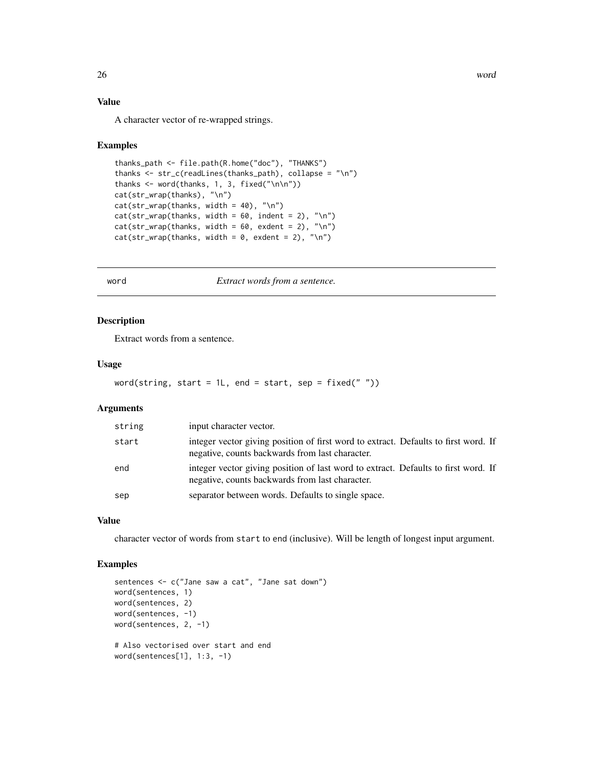## Value

A character vector of re-wrapped strings.

#### Examples

```
thanks_path <- file.path(R.home("doc"), "THANKS")
thanks <- str_c(readLines(thanks_path), collapse = "\n")
thanks \leq word(thanks, 1, 3, fixed("\n\n"))
cat(str_wrap(thanks), "\n")
cat(str_wrap(thanks, width = 40), "\n")
cat(str_{wrap(thanks, width = 60, indent = 2), "\\n")cat(str_{wrap(thanks, width = 60, exdent = 2), "\\n")cat(str_wrap(thanks, width = 0, exdent = 2), "\\n")
```
word *Extract words from a sentence.*

## Description

Extract words from a sentence.

#### Usage

```
word(string, start = 1L, end = start, sep = fixed(" "))
```
#### Arguments

| string | input character vector.                                                                                                                |
|--------|----------------------------------------------------------------------------------------------------------------------------------------|
| start  | integer vector giving position of first word to extract. Defaults to first word. If<br>negative, counts backwards from last character. |
| end    | integer vector giving position of last word to extract. Defaults to first word. If<br>negative, counts backwards from last character.  |
| sep    | separator between words. Defaults to single space.                                                                                     |

#### Value

character vector of words from start to end (inclusive). Will be length of longest input argument.

```
sentences <- c("Jane saw a cat", "Jane sat down")
word(sentences, 1)
word(sentences, 2)
word(sentences, -1)
word(sentences, 2, -1)
# Also vectorised over start and end
word(sentences[1], 1:3, -1)
```
<span id="page-25-0"></span>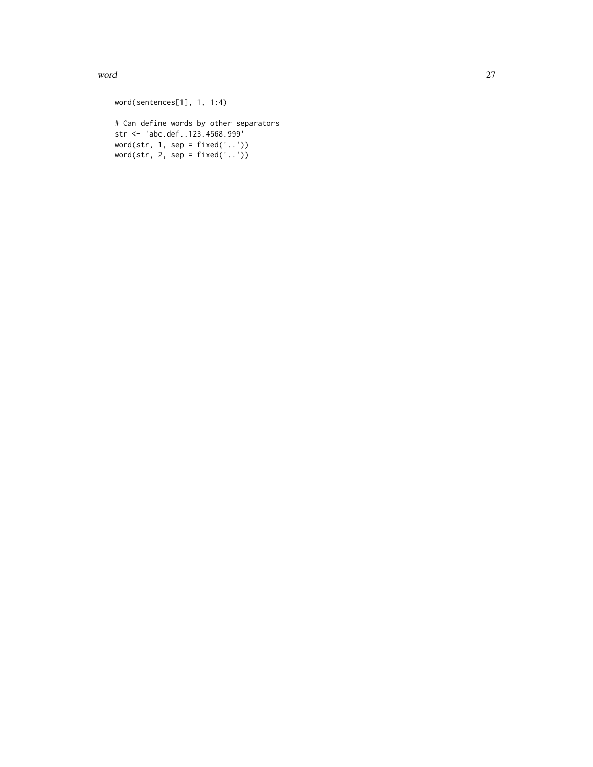word 27

word(sentences[1], 1, 1:4) # Can define words by other separators str <- 'abc.def..123.4568.999' word(str, 1, sep = fixed('..')) word(str, 2, sep = fixed('..'))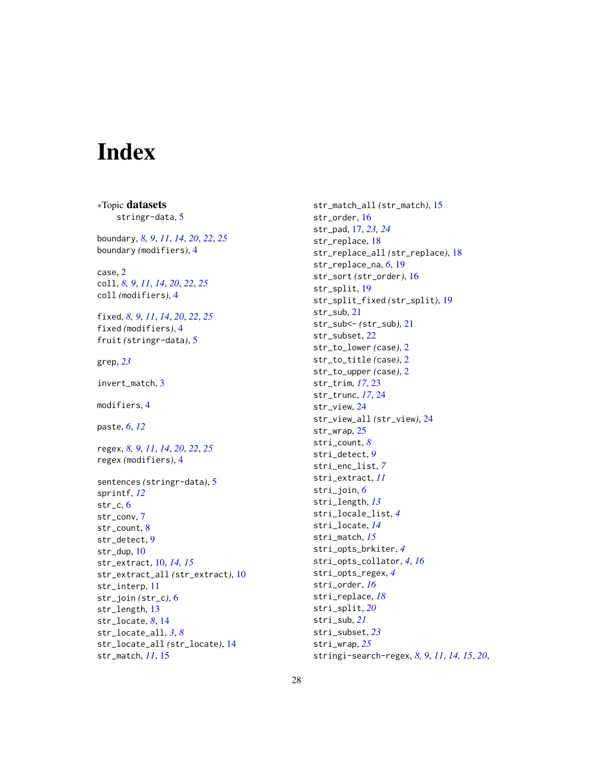# <span id="page-27-0"></span>Index

∗Topic datasets stringr-data, [5](#page-4-0) boundary, *[8,](#page-7-0) [9](#page-8-0)*, *[11](#page-10-0)*, *[14](#page-13-0)*, *[20](#page-19-0)*, *[22](#page-21-0)*, *[25](#page-24-0)* boundary *(*modifiers*)*, [4](#page-3-0) case, [2](#page-1-0) coll, *[8,](#page-7-0) [9](#page-8-0)*, *[11](#page-10-0)*, *[14](#page-13-0)*, *[20](#page-19-0)*, *[22](#page-21-0)*, *[25](#page-24-0)* coll *(*modifiers*)*, [4](#page-3-0) fixed, *[8,](#page-7-0) [9](#page-8-0)*, *[11](#page-10-0)*, *[14](#page-13-0)*, *[20](#page-19-0)*, *[22](#page-21-0)*, *[25](#page-24-0)* fixed *(*modifiers*)*, [4](#page-3-0) fruit *(*stringr-data*)*, [5](#page-4-0) grep, *[23](#page-22-0)* invert\_match, [3](#page-2-0) modifiers, [4](#page-3-0) paste, *[6](#page-5-0)*, *[12](#page-11-0)* regex, *[8,](#page-7-0) [9](#page-8-0)*, *[11](#page-10-0)*, *[14](#page-13-0)*, *[20](#page-19-0)*, *[22](#page-21-0)*, *[25](#page-24-0)* regex *(*modifiers*)*, [4](#page-3-0) sentences *(*stringr-data*)*, [5](#page-4-0) sprintf, *[12](#page-11-0)* str\_c, [6](#page-5-0) str\_conv, [7](#page-6-0) str\_count, [8](#page-7-0) str\_detect, [9](#page-8-0) str\_dup, [10](#page-9-0) str\_extract, [10,](#page-9-0) *[14,](#page-13-0) [15](#page-14-0)* str\_extract\_all *(*str\_extract*)*, [10](#page-9-0) str\_interp, [11](#page-10-0) str\_join *(*str\_c*)*, [6](#page-5-0) str\_length, [13](#page-12-0) str\_locate, *[8](#page-7-0)*, [14](#page-13-0) str\_locate\_all, *[3](#page-2-0)*, *[8](#page-7-0)* str\_locate\_all *(*str\_locate*)*, [14](#page-13-0) str\_match, *[11](#page-10-0)*, [15](#page-14-0)

str\_match\_all *(*str\_match*)*, [15](#page-14-0) str\_order, [16](#page-15-0) str\_pad, [17,](#page-16-0) *[23,](#page-22-0) [24](#page-23-0)* str\_replace, [18](#page-17-0) str\_replace\_all *(*str\_replace*)*, [18](#page-17-0) str\_replace\_na, *[6](#page-5-0)*, [19](#page-18-0) str\_sort *(*str\_order*)*, [16](#page-15-0) str\_split, [19](#page-18-0) str\_split\_fixed *(*str\_split*)*, [19](#page-18-0) str\_sub, [21](#page-20-0) str\_sub<- *(*str\_sub*)*, [21](#page-20-0) str\_subset, [22](#page-21-0) str\_to\_lower *(*case*)*, [2](#page-1-0) str\_to\_title *(*case*)*, [2](#page-1-0) str\_to\_upper *(*case*)*, [2](#page-1-0) str\_trim, *[17](#page-16-0)*, [23](#page-22-0) str\_trunc, *[17](#page-16-0)*, [24](#page-23-0) str\_view, [24](#page-23-0) str\_view\_all *(*str\_view*)*, [24](#page-23-0) str\_wrap, [25](#page-24-0) stri\_count, *[8](#page-7-0)* stri\_detect, *[9](#page-8-0)* stri\_enc\_list, *[7](#page-6-0)* stri\_extract, *[11](#page-10-0)* stri\_join, *[6](#page-5-0)* stri\_length, *[13](#page-12-0)* stri\_locale\_list, *[4](#page-3-0)* stri\_locate, *[14](#page-13-0)* stri\_match, *[15](#page-14-0)* stri\_opts\_brkiter, *[4](#page-3-0)* stri\_opts\_collator, *[4](#page-3-0)*, *[16](#page-15-0)* stri\_opts\_regex, *[4](#page-3-0)* stri\_order, *[16](#page-15-0)* stri\_replace, *[18](#page-17-0)* stri\_split, *[20](#page-19-0)* stri\_sub, *[21](#page-20-0)* stri\_subset, *[23](#page-22-0)* stri\_wrap, *[25](#page-24-0)* stringi-search-regex, *[8,](#page-7-0) [9](#page-8-0)*, *[11](#page-10-0)*, *[14,](#page-13-0) [15](#page-14-0)*, *[20](#page-19-0)*,